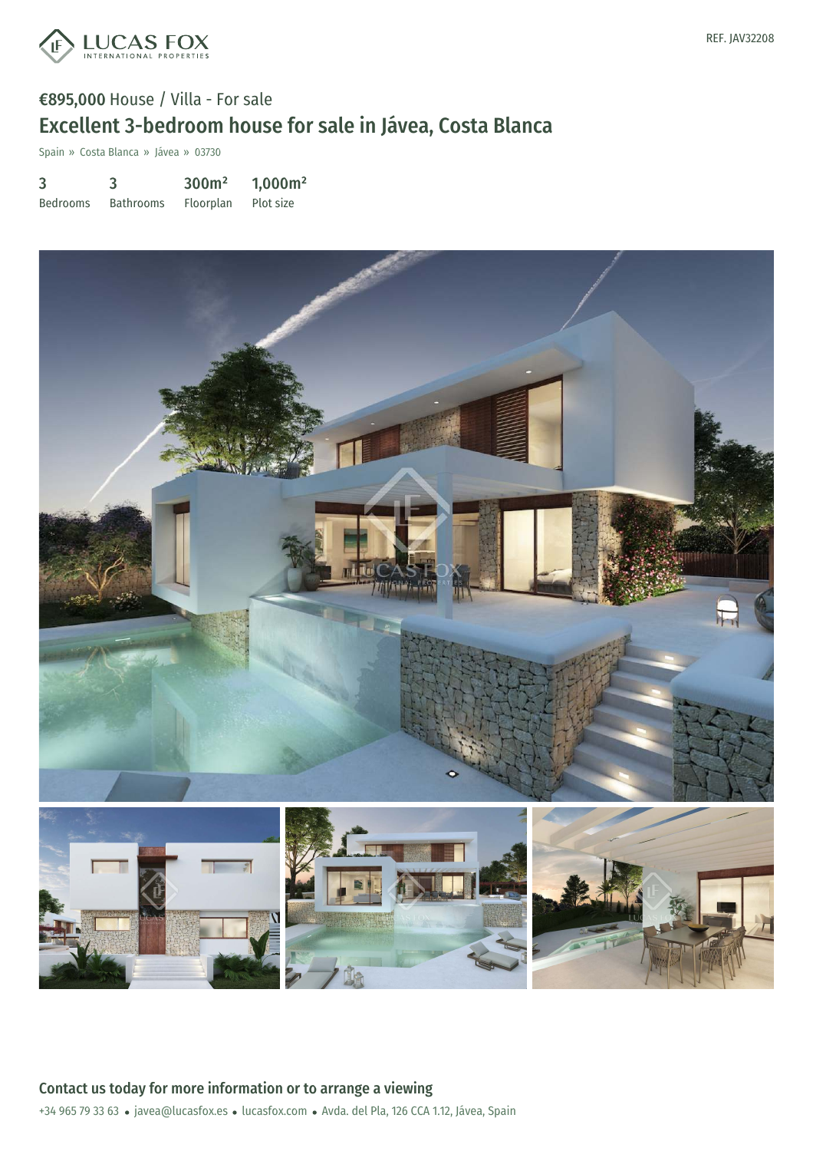

## €895,000 House / Villa - For sale Excellent 3-bedroom house for sale in Jávea, Costa Blanca

Spain » Costa Blanca » Jávea » 03730

| 3               | 3                | 300 <sup>m²</sup> | 1,000m <sup>2</sup> |
|-----------------|------------------|-------------------|---------------------|
| <b>Bedrooms</b> | <b>Bathrooms</b> | Floorplan         | Plot size           |



+34 965 79 33 63 · javea@lucasfox.es · lucasfox.com · Avda. del Pla, 126 CCA 1.12, Jávea, Spain Contact us today for more information or to arrange a viewing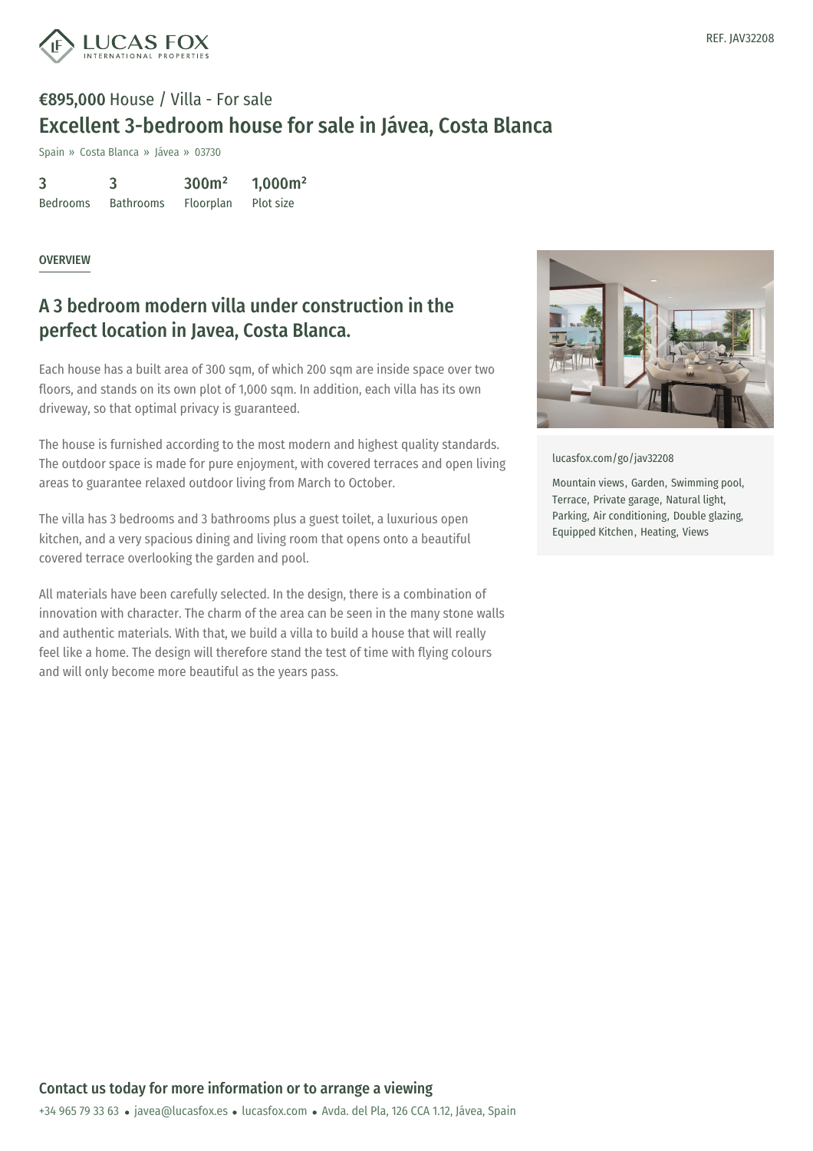

# €895,000 House / Villa - For sale Excellent 3-bedroom house for sale in Jávea, Costa Blanca

Spain » Costa Blanca » Jávea » 03730

| 3               |                  | 300 <sup>m²</sup> | 1,000m <sup>2</sup> |
|-----------------|------------------|-------------------|---------------------|
| <b>Bedrooms</b> | <b>Bathrooms</b> | Floorplan         | Plot size           |

#### **OVERVIEW**

### A 3 bedroom modern villa under construction in the perfect location in Javea, Costa Blanca.

Each house has a built area of 300 sqm, of which 200 sqm are inside space over two floors, and stands on its own plot of 1,000 sqm. In addition, each villa has its own driveway, so that optimal privacy is guaranteed.

The house is furnished according to the most modern and highest quality standards. The outdoor space is made for pure enjoyment, with covered terraces and open living areas to guarantee relaxed outdoor living from March to October.

The villa has 3 bedrooms and 3 bathrooms plus a guest toilet, a luxurious open kitchen, and a very spacious dining and living room that opens onto a beautiful covered terrace overlooking the garden and pool.

All materials have been carefully selected. In the design, there is a combination of innovation with character. The charm of the area can be seen in the many stone walls and authentic materials. With that, we build a villa to build a house that will really feel like a home. The design will therefore stand the test of time with flying colours and will only become more beautiful as the years pass.



[lucasfox.com/go/jav32208](https://www.lucasfox.com/go/jav32208)

Mountain views, Garden, Swimming pool, Terrace, Private garage, Natural light, Parking, Air conditioning, Double glazing, Equipped Kitchen, Heating, Views